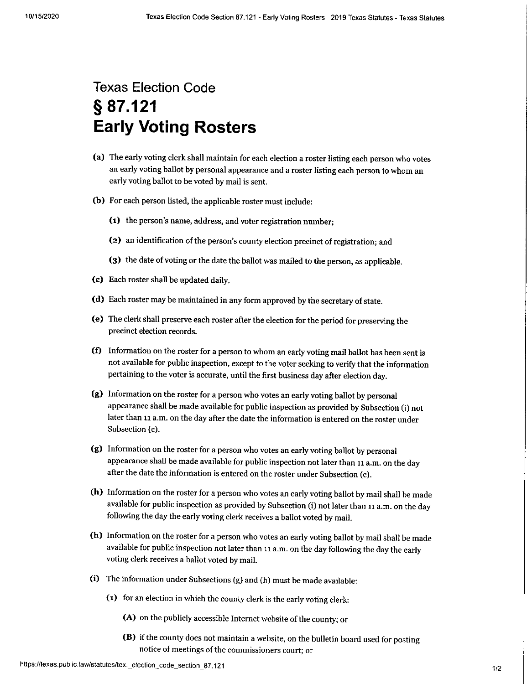## Texas Election Code s 87.121 Early Voting Rosters

- (a) The early voting clerk shall maintain for each election a roster listing each person who votes an early voting ballot by personal appearance and a roster listing each person to whom an early voting ballot to be voted by mail is sent.
- (b) For each person listed, the applicable roster must include:
	- (1) the person's name, address, and voter registration number;
	- (z) an identification of the person's county election precinct of registration; and
	- (3) the date of voting or the date the ballot was mailed to the person, as applicable.
- (c) Each roster shall be updated daily.
- (d) Each roster may be maintained in any form approved by the secretary of state.
- (e) The clerk shall preserve each roster after the election for the period for preserving the precinct election records.
- (f) Information on the roster for a person to whom an early voting mail ballot has been sent is not available for public inspection, except to the voter seeking to verify that the information pertaining to the voter is accurate, until the first business day after election day.
- (g) lnformation on the roster for a person who votes an early voting ballot by personal appearance shall be made available for public inspection as provided by Subsection (i) not later than 11 a.m. on the day after the date the information is entered on the roster under Subsection (c).
- (e) Information on the roster for a person who votes an early voting ballot by personal appearance shall be made available for public inspection not later than 11 a.m. on the day after the date the information is entered on the roster under Subsection (c).
- (h) Information on the roster for a person who votes an early voting ballot by mail shall be made available for public inspection as provided by Subsection (i) not later than 11 a.m. on the day following the day the early voting clerk receives a ballot voted by mail.
- (h) Information on the roster for a person who votes an early voting ballot by mail shall be made available for public inspection not later than 11 a.m. on the day following the day the early voting clerk receives a ballot voted by mail.
- (i) The information under Subsections (g) and (h) must be made available:
	- (1) for an election in which the county clerk is the early voting clerk:

(A) on the publicly accessible Internet website of the county; or

notice of meetings of the commissioners court; or (B) if the county does not maintain a website, on the bulletin board used for posting